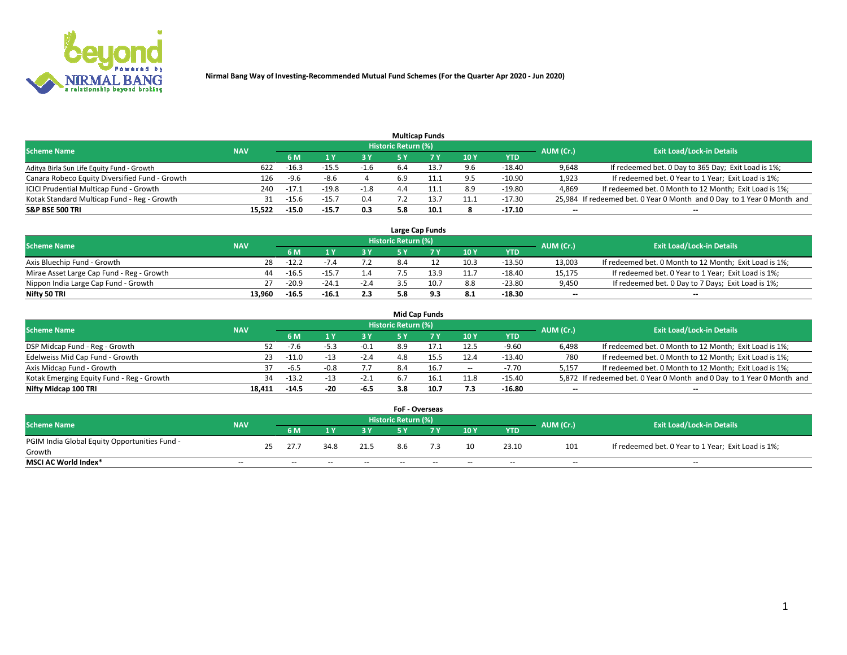

|                                                |            |                |         |        |                            | <b>Multicap Funds</b> |      |            |           |                                                                        |
|------------------------------------------------|------------|----------------|---------|--------|----------------------------|-----------------------|------|------------|-----------|------------------------------------------------------------------------|
| <b>Scheme Name</b>                             | <b>NAV</b> |                |         |        | <b>Historic Return (%)</b> |                       |      |            | AUM (Cr.) | <b>Exit Load/Lock-in Details</b>                                       |
|                                                |            | 6 M            |         |        |                            |                       | 10Y  | <b>YTD</b> |           |                                                                        |
| Aditya Birla Sun Life Equity Fund - Growth     |            | $-16.3$<br>622 | -15.5   | -1.6   | 6.4                        | 13.7                  | 9.6  | $-18.40$   | 9,648     | If redeemed bet. 0 Day to 365 Day; Exit Load is 1%;                    |
| Canara Robeco Equity Diversified Fund - Growth |            | $-9.6$<br>126  | $-8.6$  |        | 6.9                        | 11.1                  | 9.5  | $-10.90$   | 1,923     | If redeemed bet. 0 Year to 1 Year; Exit Load is 1%;                    |
| ICICI Prudential Multicap Fund - Growth        |            | $-17.1$<br>240 | $-19.8$ | $-1.8$ | 4.4                        | 11.1                  | 8.9  | $-19.80$   | 4,869     | If redeemed bet. 0 Month to 12 Month; Exit Load is 1%;                 |
| Kotak Standard Multicap Fund - Reg - Growth    |            | $-15.6$<br>31  |         | 0.4    |                            | 13.7                  | 11.1 | $-17.30$   |           | 25,984 If redeemed bet. 0 Year 0 Month and 0 Day to 1 Year 0 Month and |
| <b>S&amp;P BSE 500 TRI</b>                     | 15.522     | $-15.0$        | $-15.7$ | 0.3    | 5.8                        | 10.1                  |      | $-17.10$   | $- -$     | $-$                                                                    |

|                                           |            |         |         |        |                     | Large Cap Funds |      |          |                          |                                                        |
|-------------------------------------------|------------|---------|---------|--------|---------------------|-----------------|------|----------|--------------------------|--------------------------------------------------------|
| <b>Scheme Name</b>                        | <b>NAV</b> |         |         |        | Historic Return (%) |                 |      |          | AUM (Cr.)                | <b>Exit Load/Lock-in Details</b>                       |
|                                           |            |         |         |        |                     |                 | 10Y  | YTD      |                          |                                                        |
| Axis Bluechip Fund - Growth               | 28         | $-12.2$ |         |        |                     |                 | 10.3 | $-13.50$ | 13.003                   | If redeemed bet. 0 Month to 12 Month; Exit Load is 1%; |
| Mirae Asset Large Cap Fund - Reg - Growth | 44         | $-16.5$ | $-15.7$ | 1.4    |                     | 13.9            | 11.7 | $-18.40$ | 15,175                   | If redeemed bet. 0 Year to 1 Year; Exit Load is 1%;    |
| Nippon India Large Cap Fund - Growth      |            | $-20.9$ | $-24.1$ | $-2.4$ |                     | 10.7            | 8.8  | $-23.80$ | 9,450                    | If redeemed bet. 0 Day to 7 Days; Exit Load is 1%;     |
| Nifty 50 TRI                              | 13.960     | $-16.5$ | $-16.1$ | 2.3    |                     | 9.3             | 8.1  | $-18.30$ | $\overline{\phantom{a}}$ | $\overline{\phantom{a}}$                               |

|                                           |            |         |      |        |                     | Mid Cap Funds |                          |            |                          |                                                                       |
|-------------------------------------------|------------|---------|------|--------|---------------------|---------------|--------------------------|------------|--------------------------|-----------------------------------------------------------------------|
| <b>Scheme Name</b>                        | <b>NAV</b> |         |      |        | Historic Return (%) |               |                          |            | AUM (Cr.)                | <b>Exit Load/Lock-in Details</b>                                      |
|                                           |            | 6 M     |      | 3 Y    |                     |               | 10Y                      | <b>YTD</b> |                          |                                                                       |
| DSP Midcap Fund - Reg - Growth            | 52.        | $-1.6$  | -5.3 | $-0.1$ | 8.9                 |               | 12.5                     | $-9.60$    | 6,498                    | If redeemed bet. 0 Month to 12 Month; Exit Load is 1%;                |
| Edelweiss Mid Cap Fund - Growth           | 23.        | $-11.0$ | -13  | $-2.4$ | 4.8                 |               | 12.4                     | -13.40     | 780                      | If redeemed bet. 0 Month to 12 Month; Exit Load is 1%;                |
| Axis Midcap Fund - Growth                 |            | $-6.5$  | 0.8  |        | 8.4                 |               | $\overline{\phantom{a}}$ | $-7.70$    | 5,157                    | If redeemed bet. 0 Month to 12 Month; Exit Load is 1%;                |
| Kotak Emerging Equity Fund - Reg - Growth | 34         | $-13.2$ | -13  | $-2.1$ | 6.7                 |               | 11.8                     | $-15.40$   |                          | 5,872 If redeemed bet. 0 Year 0 Month and 0 Day to 1 Year 0 Month and |
| Nifty Midcap 100 TRI                      | 18.411     | $-14.5$ | -20  | -6.5   | 3.8                 | 10.7          | 7.3                      | -16.80     | $\overline{\phantom{a}}$ | $- -$                                                                 |

|                                               |            |    |       |       |               | <b>FoF - Overseas</b> |       |            |               |           |                                                     |
|-----------------------------------------------|------------|----|-------|-------|---------------|-----------------------|-------|------------|---------------|-----------|-----------------------------------------------------|
| <b>Scheme Name</b>                            | <b>NAV</b> |    |       |       |               | Historic Return (%)   |       |            |               | AUM (Cr.) | <b>Exit Load/Lock-in Details</b>                    |
|                                               |            |    | 6 M   |       | ט כ           |                       |       | 10Y        | <b>YTD</b>    |           |                                                     |
| PGIM India Global Equity Opportunities Fund - |            | 25 | 27.7  | 34.8  | 21.5          | 8.6                   |       | 10         | 23.10         | 101       | If redeemed bet. 0 Year to 1 Year; Exit Load is 1%; |
| Growth                                        |            |    |       |       |               |                       |       |            |               |           |                                                     |
| <b>MSCI AC World Index*</b>                   | $- -$      |    | $- -$ | $- -$ | $\sim$ $\sim$ | $- -$                 | $- -$ | $\sim$ $-$ | $\sim$ $\sim$ | $\sim$    | $\sim$                                              |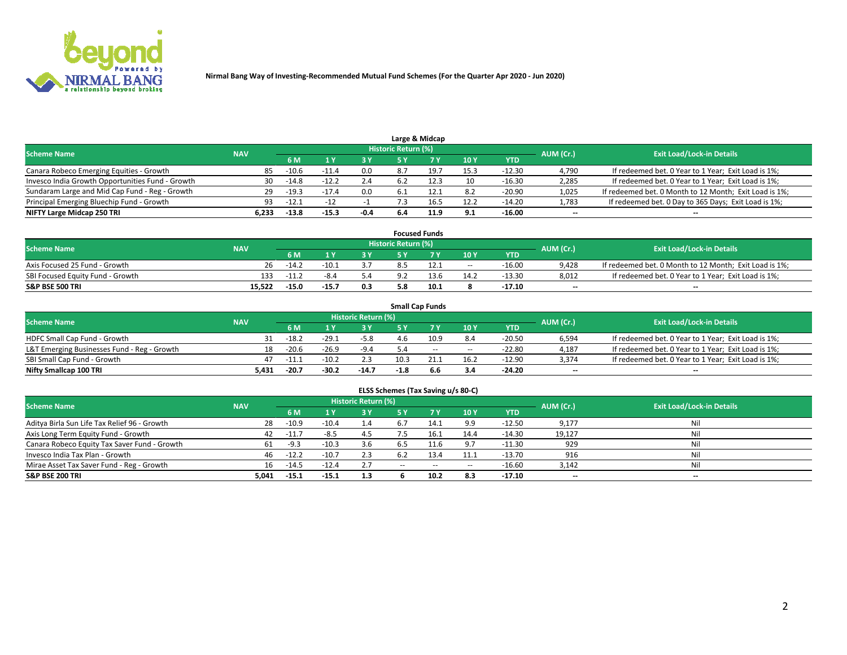

|                                                  |            |         |         |        |                     | Large & Midcap |      |            |           |                                                        |
|--------------------------------------------------|------------|---------|---------|--------|---------------------|----------------|------|------------|-----------|--------------------------------------------------------|
| <b>Scheme Name</b>                               | <b>NAV</b> |         |         |        | Historic Return (%) |                |      |            | AUM (Cr.) | <b>Exit Load/Lock-in Details</b>                       |
|                                                  |            | 6 M     |         | 3 Y    |                     |                | 10Y  | <b>YTD</b> |           |                                                        |
| Canara Robeco Emerging Equities - Growth         | 85         | $-10.6$ | -11.4   | 0.0    |                     | 19.7           | 15.3 | $-12.30$   | 4,790     | If redeemed bet. 0 Year to 1 Year; Exit Load is 1%;    |
| Invesco India Growth Opportunities Fund - Growth | 30         | -14.8   | $-12.2$ | 2.4    |                     | 12.3           | 10   | $-16.30$   | 2,285     | If redeemed bet. 0 Year to 1 Year; Exit Load is 1%;    |
| Sundaram Large and Mid Cap Fund - Reg - Growth   | 29         | $-19.3$ | $-17.4$ | 0.0    |                     | 12.1           | 8.2  | $-20.90$   | 1,025     | If redeemed bet. 0 Month to 12 Month; Exit Load is 1%; |
| Principal Emerging Bluechip Fund - Growth        | 93.        | $-12.1$ | $-12$   |        |                     | 16.5           | 12.2 | $-14.20$   | 1,783     | If redeemed bet. 0 Day to 365 Days; Exit Load is 1%;   |
| NIFTY Large Midcap 250 TRI                       | 6.233      | $-13.8$ | $-15.3$ | $-0.4$ | 6.4                 | 11.9           | 9.1  | $-16.00$   | $- -$     | $- -$                                                  |

|                                  |            |         |         |     |                            | <b>Focused Funds</b> |            |          |           |                                                        |
|----------------------------------|------------|---------|---------|-----|----------------------------|----------------------|------------|----------|-----------|--------------------------------------------------------|
| <b>Scheme Name</b>               | <b>NAV</b> |         |         |     | <b>Historic Return (%)</b> |                      |            |          | AUM (Cr.) | <b>Exit Load/Lock-in Details</b>                       |
|                                  |            | 6 M     |         | 3 Y |                            | 7 V                  | 10Y        | YTD      |           |                                                        |
| Axis Focused 25 Fund - Growth    | 26         | $-14.2$ | $-10.1$ | 3.7 |                            |                      | $\sim$ $-$ | $-16.00$ | 9.428     | If redeemed bet. 0 Month to 12 Month; Exit Load is 1%; |
| SBI Focused Equity Fund - Growth | 133        | $-11.2$ |         | 5.4 |                            | 13.6                 | 14.2       | $-13.30$ | 8,012     | If redeemed bet. 0 Year to 1 Year; Exit Load is 1%;    |
| <b>S&amp;P BSE 500 TRI</b>       | 15.522     | $-15.0$ | $-15.7$ | 0.3 |                            | 10.1                 |            | -17.10   | $- -$     | --                                                     |

|                                             |            |         |         |                            |        | <b>Small Cap Funds</b> |       |            |                          |                                                     |
|---------------------------------------------|------------|---------|---------|----------------------------|--------|------------------------|-------|------------|--------------------------|-----------------------------------------------------|
| <b>Scheme Name</b>                          | <b>NAV</b> |         |         | <b>Historic Return (%)</b> |        |                        |       |            | AUM (Cr.)                | <b>Exit Load/Lock-in Details</b>                    |
|                                             |            | 6 M     |         | 3Y                         |        |                        | 10Y   | <b>YTD</b> |                          |                                                     |
| <b>HDFC Small Cap Fund - Growth</b>         |            | -18.2   | $-29.1$ | $-5.8$                     | 4.6    | 10.9                   | 8.4   | $-20.50$   | 6,594                    | If redeemed bet. 0 Year to 1 Year; Exit Load is 1%; |
| L&T Emerging Businesses Fund - Reg - Growth | 18         | $-20.6$ | $-26.9$ | $-9.4$                     |        | $-$                    | $- -$ | $-22.80$   | 4,187                    | If redeemed bet. 0 Year to 1 Year; Exit Load is 1%; |
| SBI Small Cap Fund - Growth                 |            | $-11.2$ | $-10.2$ | 2.3                        | 10.3   |                        | 16.2  | $-12.90$   | 3,374                    | If redeemed bet. 0 Year to 1 Year; Exit Load is 1%; |
| Nifty Smallcap 100 TRI                      | 5.431      | $-20.7$ | $-30.2$ | $-14.7$                    | $-1.8$ | 6.6                    | 3.4   | $-24.20$   | $\overline{\phantom{a}}$ | $\overline{\phantom{a}}$                            |

| <b>Scheme Name</b>                           | <b>NAV</b> |         |         | <b>Historic Return (%)</b> |       |       |            |            | AUM (Cr.)                | <b>Exit Load/Lock-in Details</b> |
|----------------------------------------------|------------|---------|---------|----------------------------|-------|-------|------------|------------|--------------------------|----------------------------------|
|                                              |            | 6 M     |         | 3 Y                        |       |       | 10Y        | <b>YTD</b> |                          |                                  |
| Aditya Birla Sun Life Tax Relief 96 - Growth | 28         | $-10.9$ | $-10.4$ | 1.4                        |       | 14.1  | 9.9        | $-12.50$   | 9,177                    | Nil                              |
| Axis Long Term Equity Fund - Growth          | 42         | $-11$   | $-8.5$  | 4.5                        |       | 16.1  | 14.4       | $-14.30$   | 19,127                   | Nil                              |
| Canara Robeco Equity Tax Saver Fund - Growth |            | -9.3    | $-10.3$ | 3.6                        |       |       |            | $-11.30$   | 929                      | Nil                              |
| Invesco India Tax Plan - Growth              | 46         | $-12.2$ | $-10.7$ | 2.3                        | 6.2   | 13.4  | 11.1       | $-13.70$   | 916                      | Nil                              |
| Mirae Asset Tax Saver Fund - Reg - Growth    | 16         | -14.5   | $-12.4$ | 2.7                        | $- -$ | $- -$ | $\sim$ $-$ | $-16.60$   | 3,142                    | Nil                              |
| <b>S&amp;P BSE 200 TRI</b>                   | 5,041      | $-15.1$ | $-15.1$ | 1.3                        |       | 10.2  | 8.3        | $-17.10$   | $\overline{\phantom{a}}$ | $- -$                            |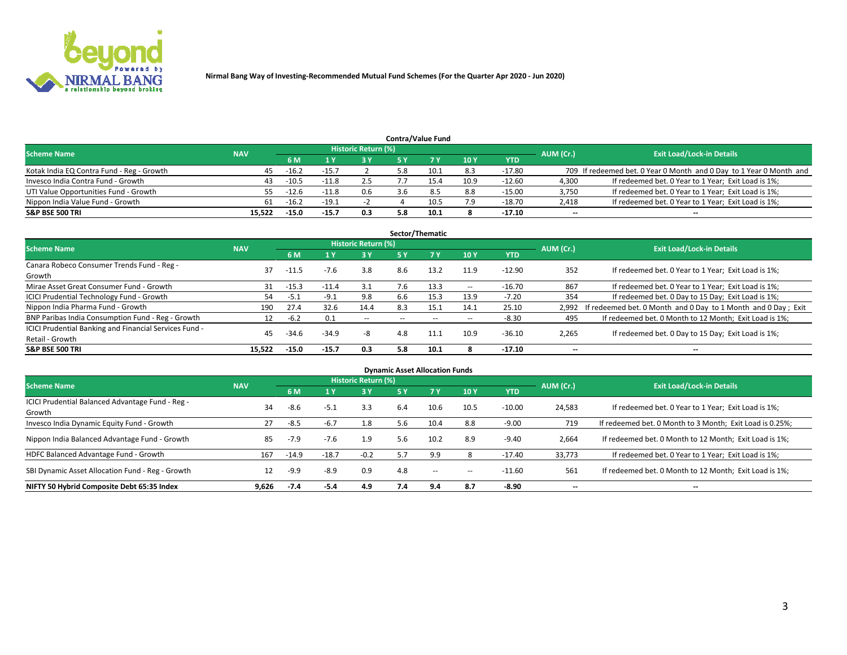

|                                           |            |                |         |                            |     | <b>Contra/Value Fund</b> |      |            |           |                                                                     |
|-------------------------------------------|------------|----------------|---------|----------------------------|-----|--------------------------|------|------------|-----------|---------------------------------------------------------------------|
| <b>Scheme Name</b>                        | <b>NAV</b> |                |         | <b>Historic Return (%)</b> |     |                          |      |            | AUM (Cr.) | <b>Exit Load/Lock-in Details</b>                                    |
|                                           |            | 6 M            |         | <b>R</b> X                 |     |                          | 10Y  | <b>YTD</b> |           |                                                                     |
| Kotak India EQ Contra Fund - Reg - Growth | 45         | $-16.2$        | $-15.7$ |                            |     | 10.1                     | 8.3  | $-17.80$   |           | 709 If redeemed bet. 0 Year 0 Month and 0 Day to 1 Year 0 Month and |
| Invesco India Contra Fund - Growth        |            | $-10.5$        | -11.8   | 2.5                        |     | L5.4                     | 10.9 | $-12.60$   | 4,300     | If redeemed bet. 0 Year to 1 Year; Exit Load is 1%;                 |
| UTI Value Opportunities Fund - Growth     |            | $-12.6$<br>55. | $-11.8$ | 0.6                        |     |                          | 8.8  | $-15.00$   | 3,750     | If redeemed bet. 0 Year to 1 Year; Exit Load is 1%;                 |
| Nippon India Value Fund - Growth          | 61         | $-16.2$        | $-19.3$ |                            |     | 10.5                     | 7.9  | $-18.70$   | 2,418     | If redeemed bet. 0 Year to 1 Year; Exit Load is 1%;                 |
| <b>S&amp;P BSE 500 TRI</b>                | 15.522     | $-15.0$        | $-15.7$ | 0.3                        | 5.8 | 10.1                     |      | $-17.10$   | $-$       | $- -$                                                               |

|                                                        |            |         |         |                     |                          | Sector/Thematic |            |            |                          |                                                                     |
|--------------------------------------------------------|------------|---------|---------|---------------------|--------------------------|-----------------|------------|------------|--------------------------|---------------------------------------------------------------------|
| <b>Scheme Name</b>                                     | <b>NAV</b> |         |         | Historic Return (%) |                          |                 |            |            | AUM (Cr.)                | <b>Exit Load/Lock-in Details</b>                                    |
|                                                        |            | 6 M     | 1 Y     | 3 Y                 | <b>5 Y</b>               |                 | 10Y        | <b>YTD</b> |                          |                                                                     |
| Canara Robeco Consumer Trends Fund - Reg -             | 37         | $-11.5$ | $-7.6$  | 3.8                 | 8.6                      | 13.2            | 11.9       | $-12.90$   | 352                      | If redeemed bet. 0 Year to 1 Year; Exit Load is 1%;                 |
| Growth                                                 |            |         |         |                     |                          |                 |            |            |                          |                                                                     |
| Mirae Asset Great Consumer Fund - Growth               | 31         | $-15.3$ | $-11.4$ | 3.1                 | 7.6                      | 13.3            | $\sim$ $-$ | $-16.70$   | 867                      | If redeemed bet. 0 Year to 1 Year; Exit Load is 1%;                 |
| <b>ICICI Prudential Technology Fund - Growth</b>       | 54.        | $-5.1$  | $-9.1$  | 9.8                 | 6.6                      | 15.3            | 13.9       | $-7.20$    | 354                      | If redeemed bet. 0 Day to 15 Day; Exit Load is 1%;                  |
| Nippon India Pharma Fund - Growth                      | 190        | 27.4    | 32.6    | 14.4                | 8.3                      | 15.1            | 14.1       | 25.10      |                          | 2,992 If redeemed bet. 0 Month and 0 Day to 1 Month and 0 Day; Exit |
| BNP Paribas India Consumption Fund - Reg - Growth      | 12         | $-6.2$  | 0.1     | $\sim$ $\sim$       | $\overline{\phantom{a}}$ | $- -$           | $\sim$ $-$ | $-8.30$    | 495                      | If redeemed bet. 0 Month to 12 Month; Exit Load is 1%;              |
| ICICI Prudential Banking and Financial Services Fund - | 45         | $-34.6$ | $-34.9$ | -8                  | 4.8                      | 11.1            | 10.9       |            |                          | If redeemed bet. 0 Day to 15 Day; Exit Load is 1%;                  |
| Retail - Growth                                        |            |         |         |                     |                          |                 |            | $-36.10$   | 2,265                    |                                                                     |
| <b>S&amp;P BSE 500 TRI</b>                             | 15.522     | $-15.0$ | $-15.7$ | 0.3                 | 5.8                      | 10.1            | 8          | $-17.10$   | $\overline{\phantom{a}}$ | $- -$                                                               |

| <b>Dynamic Asset Allocation Funds</b>                      |            |         |         |                     |     |       |       |            |                          |                                                          |  |  |
|------------------------------------------------------------|------------|---------|---------|---------------------|-----|-------|-------|------------|--------------------------|----------------------------------------------------------|--|--|
| <b>Scheme Name</b>                                         | <b>NAV</b> |         |         | Historic Return (%) |     |       |       |            | AUM (Cr.)                | <b>Exit Load/Lock-in Details</b>                         |  |  |
|                                                            |            | 6 M     |         | 3 Y                 | 5 Y | 7 Y   | 10Y   | <b>YTD</b> |                          |                                                          |  |  |
| ICICI Prudential Balanced Advantage Fund - Reg -<br>Growth | 34         | -8.6    | $-5.1$  | 3.3                 | 6.4 | 10.6  | 10.5  | $-10.00$   | 24,583                   | If redeemed bet. 0 Year to 1 Year; Exit Load is 1%;      |  |  |
| Invesco India Dynamic Equity Fund - Growth                 | 27         | $-8.5$  | -6.7    | 1.8                 | 5.6 | 10.4  | 8.8   | $-9.00$    | 719                      | If redeemed bet. 0 Month to 3 Month; Exit Load is 0.25%; |  |  |
| Nippon India Balanced Advantage Fund - Growth              | 85         | $-7.9$  | $-7.6$  | 1.9                 | 5.6 | 10.2  | 8.9   | $-9.40$    | 2,664                    | If redeemed bet. 0 Month to 12 Month; Exit Load is 1%;   |  |  |
| HDFC Balanced Advantage Fund - Growth                      | 167        | $-14.9$ | $-18.7$ | $-0.2$              |     | 9.9   |       | $-17.40$   | 33,773                   | If redeemed bet. 0 Year to 1 Year; Exit Load is 1%;      |  |  |
| SBI Dynamic Asset Allocation Fund - Reg - Growth           | 12         | $-9.9$  | -8.9    | 0.9                 | 4.8 | $- -$ | $- -$ | $-11.60$   | 561                      | If redeemed bet. 0 Month to 12 Month; Exit Load is 1%;   |  |  |
| NIFTY 50 Hybrid Composite Debt 65:35 Index                 | 9.626      | -7.4    | -5.4    | 4.9                 | 7.4 | 9.4   | 8.7   | $-8.90$    | $\overline{\phantom{a}}$ | --                                                       |  |  |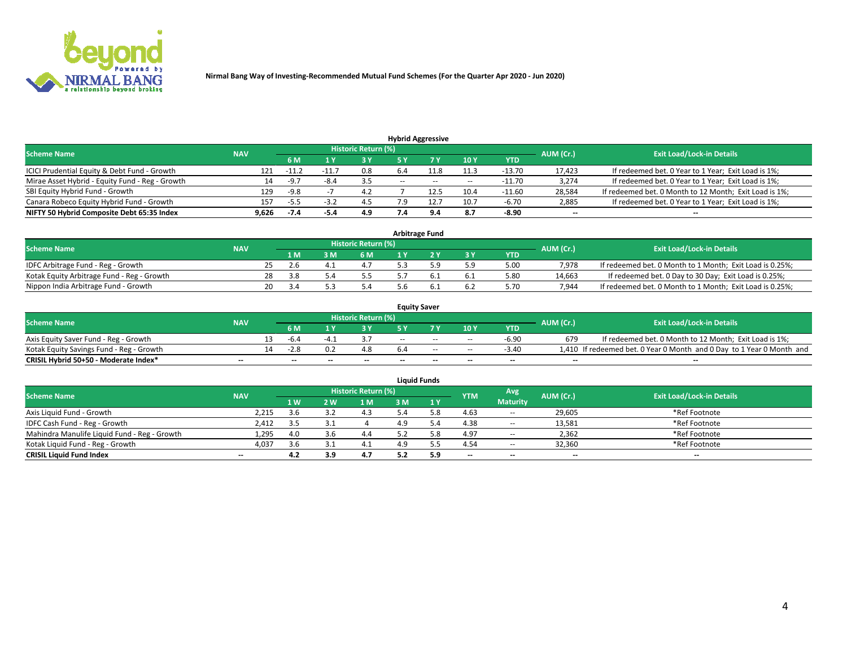

| <b>Hybrid Aggressive</b>                        |            |           |                                  |     |                          |       |            |            |        |                                                        |  |  |  |  |
|-------------------------------------------------|------------|-----------|----------------------------------|-----|--------------------------|-------|------------|------------|--------|--------------------------------------------------------|--|--|--|--|
| <b>Scheme Name</b>                              | <b>NAV</b> | AUM (Cr.) | <b>Exit Load/Lock-in Details</b> |     |                          |       |            |            |        |                                                        |  |  |  |  |
|                                                 |            | 6 M       |                                  |     |                          |       | 10Y        | <b>YTD</b> |        |                                                        |  |  |  |  |
| ICICI Prudential Equity & Debt Fund - Growth    | 121        | $-11.7$   |                                  | 0.8 | 6.4                      |       | 11.3       | $-13.70$   | 17,423 | If redeemed bet. 0 Year to 1 Year; Exit Load is 1%;    |  |  |  |  |
| Mirae Asset Hybrid - Equity Fund - Reg - Growth | 14         | $-9.7$    | -8.4                             | 3.5 | $\overline{\phantom{a}}$ | $- -$ | $\sim$ $-$ | $-11.70$   | 3,274  | If redeemed bet. 0 Year to 1 Year; Exit Load is 1%;    |  |  |  |  |
| SBI Equity Hybrid Fund - Growth                 | 129        | $-9.8$    |                                  | 4.2 |                          | 12.5  | 10.4       | $-11.60$   | 28,584 | If redeemed bet. 0 Month to 12 Month; Exit Load is 1%; |  |  |  |  |
| Canara Robeco Equity Hybrid Fund - Growth       | 157        | $-5.5$    | -3.7                             | 4.5 |                          | 12.:  | 10.7       | $-6.70$    | 2,885  | If redeemed bet. 0 Year to 1 Year; Exit Load is 1%;    |  |  |  |  |
| NIFTY 50 Hybrid Composite Debt 65:35 Index      | 9,626      | -7.4      | -5.4                             | 4.9 |                          | 9.4   | 8.7        | $-8.90$    | $- -$  | $- -$                                                  |  |  |  |  |

| Arbitrage Fund                             |            |     |                |     |                     |  |  |           |            |           |                                                          |  |  |  |
|--------------------------------------------|------------|-----|----------------|-----|---------------------|--|--|-----------|------------|-----------|----------------------------------------------------------|--|--|--|
| <b>Scheme Name</b>                         | <b>NAV</b> |     |                |     | Historic Return (%) |  |  |           |            | AUM (Cr.) | <b>Exit Load/Lock-in Details</b>                         |  |  |  |
|                                            |            |     | 1 <sub>M</sub> | 3 M | 6 M                 |  |  | <b>3Y</b> | <b>YTD</b> |           |                                                          |  |  |  |
| IDFC Arbitrage Fund - Reg - Growth         |            | ,,  |                |     |                     |  |  | 5.9       | 5.00       | 7.978     | If redeemed bet. 0 Month to 1 Month; Exit Load is 0.25%; |  |  |  |
| Kotak Equity Arbitrage Fund - Reg - Growth |            | 28  | 3.8            |     |                     |  |  | 6.1       | 5.80       | 14,663    | If redeemed bet. 0 Day to 30 Day; Exit Load is 0.25%;    |  |  |  |
| Nippon India Arbitrage Fund - Growth       |            | 20. |                |     |                     |  |  | 6.2       | 5.70       | 7.944     | If redeemed bet. 0 Month to 1 Month; Exit Load is 0.25%; |  |  |  |

| <b>Equity Saver</b>                      |                          |  |                          |    |                            |     |        |            |         |                          |                                                                       |  |  |  |
|------------------------------------------|--------------------------|--|--------------------------|----|----------------------------|-----|--------|------------|---------|--------------------------|-----------------------------------------------------------------------|--|--|--|
| <b>Scheme Name</b>                       | <b>NAV</b>               |  |                          |    | <b>Historic Return (%)</b> |     |        |            |         | AUM (Cr.)                | <b>Exit Load/Lock-in Details</b>                                      |  |  |  |
|                                          |                          |  | 6 M                      |    | эv                         |     | 7 V    | 10Y        | YTD     |                          |                                                                       |  |  |  |
| Axis Equity Saver Fund - Reg - Growth    |                          |  | -6.4                     | -4 |                            | $-$ | $-$    | $- -$      | $-6.90$ | 679                      | If redeemed bet. 0 Month to 12 Month; Exit Load is 1%;                |  |  |  |
| Kotak Equity Savings Fund - Reg - Growth |                          |  | $-2.8$                   |    |                            |     | $\sim$ | $\sim$ $-$ | $-3.40$ |                          | 1,410 If redeemed bet. 0 Year 0 Month and 0 Day to 1 Year 0 Month and |  |  |  |
| CRISIL Hybrid 50+50 - Moderate Index*    | $\overline{\phantom{a}}$ |  | $\overline{\phantom{a}}$ |    | $- -$                      | $-$ | $- -$  | $- -$      | $-$     | $\overline{\phantom{a}}$ | --                                                                    |  |  |  |

| <b>Liquid Funds</b>                          |            |     |     |                     |     |      |                          |                          |                          |                                  |  |  |  |  |
|----------------------------------------------|------------|-----|-----|---------------------|-----|------|--------------------------|--------------------------|--------------------------|----------------------------------|--|--|--|--|
| <b>Scheme Name</b>                           | <b>NAV</b> |     |     | Historic Return (%) |     |      | <b>YTM</b>               | Avg                      | AUM (Cr.)                | <b>Exit Load/Lock-in Details</b> |  |  |  |  |
|                                              |            | 1 W | 2 W | 1 <sub>M</sub>      | : M | 1 Y  |                          | <b>Maturity</b>          |                          |                                  |  |  |  |  |
| Axis Liquid Fund - Growth                    | 2.215      | 3.b |     | 4.3                 |     | 5.8. | 4.63                     | $\sim$ $\sim$            | 29,605                   | *Ref Footnote                    |  |  |  |  |
| IDFC Cash Fund - Reg - Growth                | 2,412      |     |     |                     | 4.9 |      | 4.38                     | $\sim$                   | 13,581                   | *Ref Footnote                    |  |  |  |  |
| Mahindra Manulife Liquid Fund - Reg - Growth | 1,295      | 4.0 |     | 4.4                 |     |      | 4.97                     | $\sim$                   | 2,362                    | *Ref Footnote                    |  |  |  |  |
| Kotak Liquid Fund - Reg - Growth             | 4,037      | 3.6 |     | 4.1                 | 4.9 |      | 4.54                     | $\sim$ $\sim$            | 32,360                   | *Ref Footnote                    |  |  |  |  |
| <b>CRISIL Liquid Fund Index</b>              | $-$        | 4.2 | 3.9 | 4.7                 |     | 5.9  | $\overline{\phantom{a}}$ | $\overline{\phantom{a}}$ | $\overline{\phantom{a}}$ | $- -$                            |  |  |  |  |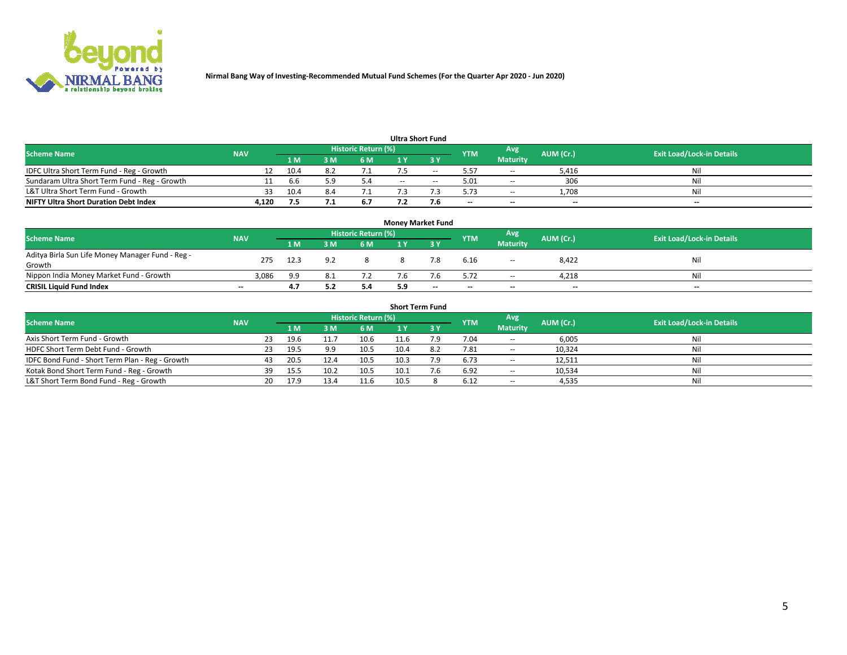

| <b>Ultra Short Fund</b>                       |            |       |     |                     |        |     |            |                 |           |                                  |  |  |  |  |
|-----------------------------------------------|------------|-------|-----|---------------------|--------|-----|------------|-----------------|-----------|----------------------------------|--|--|--|--|
| <b>Scheme Name</b>                            | <b>NAV</b> |       |     | Historic Return (%) |        |     | <b>YTM</b> | Avg             | AUM (Cr.) | <b>Exit Load/Lock-in Details</b> |  |  |  |  |
|                                               |            | '1 M. | sм  | 6 M                 |        |     |            | <b>Maturity</b> |           |                                  |  |  |  |  |
| IDFC Ultra Short Term Fund - Reg - Growth     | 12         | 10.4  |     |                     |        | --  | 5.57       | $\sim$          | 5,416     | Nil                              |  |  |  |  |
| Sundaram Ultra Short Term Fund - Reg - Growth |            | h.h   | : ၀ | 5.4                 | $\sim$ |     | 5.01       | $\sim$          | 306       | Nil                              |  |  |  |  |
| L&T Ultra Short Term Fund - Growth            | 33.        | 10.4  |     |                     |        |     | 5.73       | $\sim$          | 1.708     | Nil                              |  |  |  |  |
| <b>NIFTY Ultra Short Duration Debt Index</b>  | 4.120      |       |     | 6.7                 |        | 7.6 | $\sim$     | $\sim$          | $- -$     | $\sim$                           |  |  |  |  |

| <b>Money Market Fund</b>                         |                          |      |     |                            |     |                          |            |                 |           |                                  |  |  |  |
|--------------------------------------------------|--------------------------|------|-----|----------------------------|-----|--------------------------|------------|-----------------|-----------|----------------------------------|--|--|--|
| <b>Scheme Name</b>                               | <b>NAV</b>               |      |     | <b>Historic Return (%)</b> |     |                          | <b>YTM</b> | Avg             | AUM (Cr.) | <b>Exit Load/Lock-in Details</b> |  |  |  |
|                                                  |                          | 1 M  | 3 M | 6 M                        |     |                          |            | <b>Maturity</b> |           |                                  |  |  |  |
| Aditya Birla Sun Life Money Manager Fund - Reg - | 275                      | 12.3 | ດາ  |                            |     | 7.8                      | 6.16       |                 | 8,422     | Nil                              |  |  |  |
| Growth                                           |                          |      |     |                            |     |                          |            | $- -$           |           |                                  |  |  |  |
| Nippon India Money Market Fund - Growth          | 3,086                    | 9.9  |     |                            |     | .b                       | 5.72       | $\sim$          | 4,218     | Nil                              |  |  |  |
| <b>CRISIL Liquid Fund Index</b>                  | $\overline{\phantom{a}}$ | 4.7  |     | 5.4                        | 5.9 | $\overline{\phantom{a}}$ | $-$        | $\sim$          | $- -$     | $-$                              |  |  |  |

| <b>Short Term Fund</b>                          |            |     |      |      |                     |      |     |            |                 |           |                                  |  |  |
|-------------------------------------------------|------------|-----|------|------|---------------------|------|-----|------------|-----------------|-----------|----------------------------------|--|--|
| <b>Scheme Name</b>                              | <b>NAV</b> |     |      |      | Historic Return (%) |      |     | <b>YTM</b> | Avg             | AUM (Cr.) | <b>Exit Load/Lock-in Details</b> |  |  |
|                                                 |            |     | 4 M  |      | 6 M                 |      | 3 Y |            | <b>Maturity</b> |           |                                  |  |  |
| Axis Short Term Fund - Growth                   |            | 23  | 19.6 | 11.7 | 10.6                | 11.6 | ם י | 7.04       | $\sim$ $\sim$   | 6,005     | Nil                              |  |  |
| HDFC Short Term Debt Fund - Growth              |            | 23. | 19.5 | 9.9  | 10.5                | 10.4 |     | 7.81       | $\sim$          | 10,324    | Nil                              |  |  |
| IDFC Bond Fund - Short Term Plan - Reg - Growth |            | 43  | 20.5 | 12.4 | 10.5                | 10.3 |     | 6.73       | $\sim$          | 12,511    | Nil                              |  |  |
| Kotak Bond Short Term Fund - Reg - Growth       |            | 39  | 15.5 | 10.2 | 10.5                | 10.1 |     | 6.92       | $\sim$          | 10,534    | Nil                              |  |  |
| L&T Short Term Bond Fund - Reg - Growth         |            | 20  | 17.9 | 13.4 | 11.6                | 10.5 |     | 6.12       | $- -$           | 4,535     | Nil                              |  |  |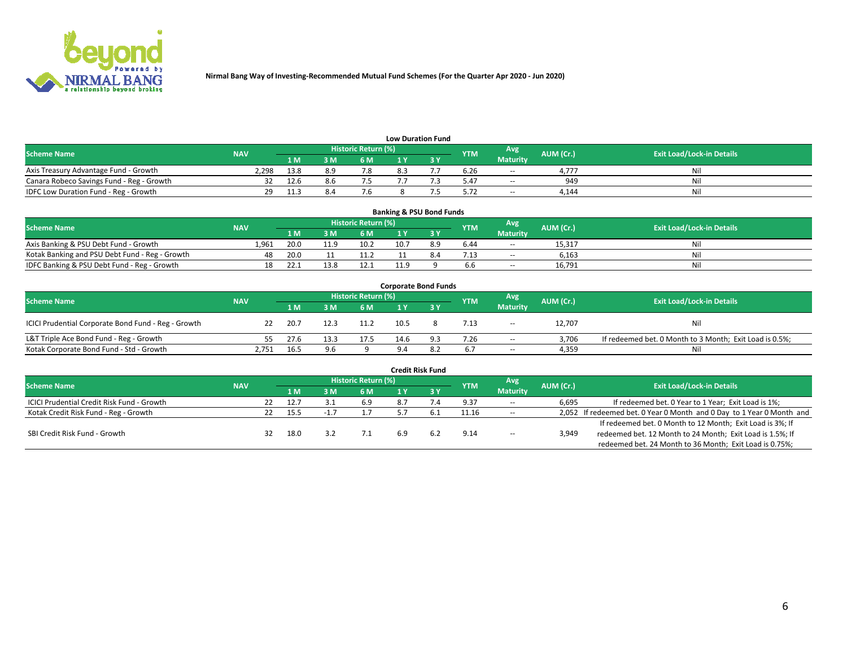

| <b>Low Duration Fund</b>                  |            |                |            |                            |  |  |            |                 |           |                                  |  |  |  |
|-------------------------------------------|------------|----------------|------------|----------------------------|--|--|------------|-----------------|-----------|----------------------------------|--|--|--|
| <b>Scheme Name</b>                        | <b>NAV</b> |                |            | <b>Historic Return (%)</b> |  |  | <b>YTM</b> | Avg             | AUM (Cr.) | <b>Exit Load/Lock-in Details</b> |  |  |  |
|                                           |            | 1 <sub>M</sub> | 3 M        | 6 M                        |  |  |            | <b>Maturity</b> |           |                                  |  |  |  |
| Axis Treasury Advantage Fund - Growth     | 2,298      | 13.8           | <b>२ प</b> | 7.8                        |  |  | 6.26       | $\sim$          | 4.777     | Nil                              |  |  |  |
| Canara Robeco Savings Fund - Reg - Growth | 32.        | 12.6           |            |                            |  |  | 5.47       | $\sim$ $\sim$   | 949       | Nil                              |  |  |  |
| IDFC Low Duration Fund - Reg - Growth     | າດ         | 11.3           |            |                            |  |  | 5.72       | $\sim$ $\sim$   | 4.144     | Nil                              |  |  |  |

| <b>Banking &amp; PSU Bond Funds</b>            |            |      |      |                            |      |     |            |                 |           |                                  |  |  |  |  |
|------------------------------------------------|------------|------|------|----------------------------|------|-----|------------|-----------------|-----------|----------------------------------|--|--|--|--|
| <b>Scheme Name</b>                             | <b>NAV</b> |      |      | <b>Historic Return (%)</b> |      |     | <b>YTM</b> | Avg             | AUM (Cr.) | <b>Exit Load/Lock-in Details</b> |  |  |  |  |
|                                                |            | 1 M  | 3 M  | 6 M                        |      |     |            | <b>Maturity</b> |           |                                  |  |  |  |  |
| Axis Banking & PSU Debt Fund - Growth          | 1.961      | 20.0 | 11.9 | 10.2                       | 10.7 | 8.9 | 6.44       | $\sim$ $\sim$   | 15.317    | Nil                              |  |  |  |  |
| Kotak Banking and PSU Debt Fund - Reg - Growth | 48         | 20.0 |      | 11.2                       |      |     | 7.13       | $\sim$          | 6,163     | Nil                              |  |  |  |  |
| IDFC Banking & PSU Debt Fund - Reg - Growth    |            | 22.1 | 13.8 | 12.1                       | 11.9 |     | 6.6        | $\sim$ $\sim$   | 16.791    | Nil                              |  |  |  |  |

| <b>Corporate Bond Funds</b>                         |            |      |      |                     |      |     |            |                          |           |                                                         |  |  |  |  |
|-----------------------------------------------------|------------|------|------|---------------------|------|-----|------------|--------------------------|-----------|---------------------------------------------------------|--|--|--|--|
| <b>Scheme Name</b>                                  | <b>NAV</b> |      |      | Historic Return (%) |      |     | <b>YTM</b> | Avg                      | AUM (Cr.) | <b>Exit Load/Lock-in Details</b>                        |  |  |  |  |
|                                                     |            | 1 M  | 3 M  | 6 M                 |      | эv  |            | <b>Maturity</b>          |           |                                                         |  |  |  |  |
| ICICI Prudential Corporate Bond Fund - Reg - Growth | 22         | 20.7 | 12.3 | 11.2                | 10.5 |     | 7.13       | $\overline{\phantom{a}}$ | 12,707    | Nil                                                     |  |  |  |  |
| L&T Triple Ace Bond Fund - Reg - Growth             |            | 27.6 | 13.3 | 17.5                | 14.6 | 9.3 | 7.26       | $\sim$                   | 3,706     | If redeemed bet. 0 Month to 3 Month; Exit Load is 0.5%; |  |  |  |  |
| Kotak Corporate Bond Fund - Std - Growth            | 2,751      | 16.5 | 9.6  |                     |      |     | 6.7        | $\sim$ $\sim$            | 4,359     | Ni                                                      |  |  |  |  |

| <b>Credit Risk Fund</b>                    |            |     |      |      |                     |     |  |            |                          |           |                                                                       |  |  |
|--------------------------------------------|------------|-----|------|------|---------------------|-----|--|------------|--------------------------|-----------|-----------------------------------------------------------------------|--|--|
| <b>Scheme Name</b>                         | <b>NAV</b> |     |      |      | Historic Return (%) |     |  | <b>YTM</b> | Avg                      | AUM (Cr.) | <b>Exit Load/Lock-in Details</b>                                      |  |  |
|                                            |            |     | 1 M  | : M  | 6 <sub>M</sub>      |     |  |            | <b>Maturity</b>          |           |                                                                       |  |  |
| ICICI Prudential Credit Risk Fund - Growth |            | 22  | 12.7 |      | 6.9                 |     |  | 9.37       | $\sim$                   | 6,695     | If redeemed bet. 0 Year to 1 Year; Exit Load is 1%;                   |  |  |
| Kotak Credit Risk Fund - Reg - Growth      |            | 22. | 15.5 | -1., |                     |     |  | 11.16      | $\sim$                   |           | 2,052 If redeemed bet. 0 Year 0 Month and 0 Day to 1 Year 0 Month and |  |  |
|                                            |            |     |      |      |                     |     |  |            |                          |           | If redeemed bet. 0 Month to 12 Month; Exit Load is 3%; If             |  |  |
| SBI Credit Risk Fund - Growth              |            |     | 18.0 |      |                     | 6.9 |  | 9.14       | $\overline{\phantom{a}}$ | 3,949     | redeemed bet. 12 Month to 24 Month; Exit Load is 1.5%; If             |  |  |
|                                            |            |     |      |      |                     |     |  |            |                          |           | redeemed bet. 24 Month to 36 Month; Exit Load is 0.75%;               |  |  |